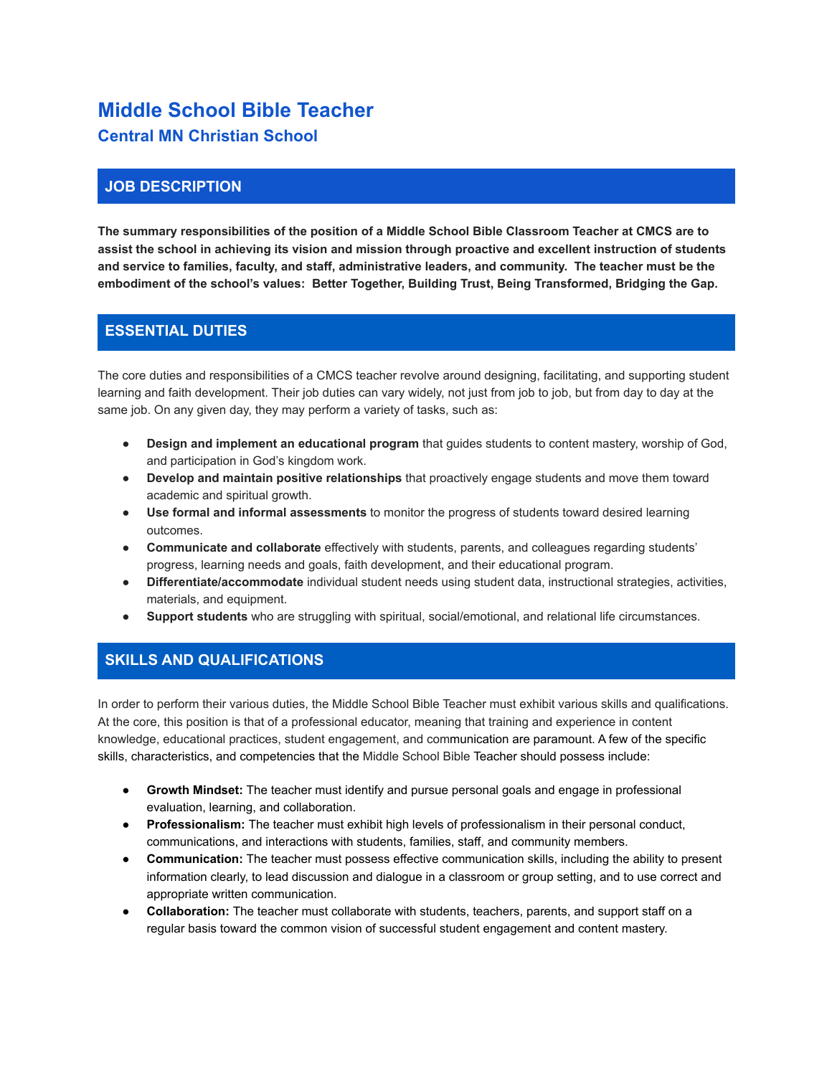# **Middle School Bible Teacher Central MN Christian School**

# **JOB DESCRIPTION**

**The summary responsibilities of the position of a Middle School Bible Classroom Teacher at CMCS are to assist the school in achieving its vision and mission through proactive and excellent instruction of students and service to families, faculty, and staff, administrative leaders, and community. The teacher must be the embodiment of the school's values: Better Together, Building Trust, Being Transformed, Bridging the Gap.**

### **ESSENTIAL DUTIES**

The core duties and responsibilities of a CMCS teacher revolve around designing, facilitating, and supporting student learning and faith development. Their job duties can vary widely, not just from job to job, but from day to day at the same job. On any given day, they may perform a variety of tasks, such as:

- **Design and implement an educational program** that guides students to content mastery, worship of God, and participation in God's kingdom work.
- **Develop and maintain positive relationships** that proactively engage students and move them toward academic and spiritual growth.
- **Use formal and informal assessments** to monitor the progress of students toward desired learning outcomes.
- **Communicate and collaborate** effectively with students, parents, and colleagues regarding students' progress, learning needs and goals, faith development, and their educational program.
- **● Differentiate/accommodate** individual student needs using student data, instructional strategies, activities, materials, and equipment.
- **Support students** who are struggling with spiritual, social/emotional, and relational life circumstances.

#### **SKILLS AND QUALIFICATIONS**

In order to perform their various duties, the Middle School Bible Teacher must exhibit various skills and qualifications. At the core, this position is that of a professional educator, meaning that training and experience in content knowledge, educational practices, student engagement, and communication are paramount. A few of the specific skills, characteristics, and competencies that the Middle School Bible Teacher should possess include:

- **Growth Mindset:** The teacher must identify and pursue personal goals and engage in professional evaluation, learning, and collaboration.
- **Professionalism:** The teacher must exhibit high levels of professionalism in their personal conduct, communications, and interactions with students, families, staff, and community members.
- **Communication:** The teacher must possess effective communication skills, including the ability to present information clearly, to lead discussion and dialogue in a classroom or group setting, and to use correct and appropriate written communication.
- **Collaboration:** The teacher must collaborate with students, teachers, parents, and support staff on a regular basis toward the common vision of successful student engagement and content mastery.